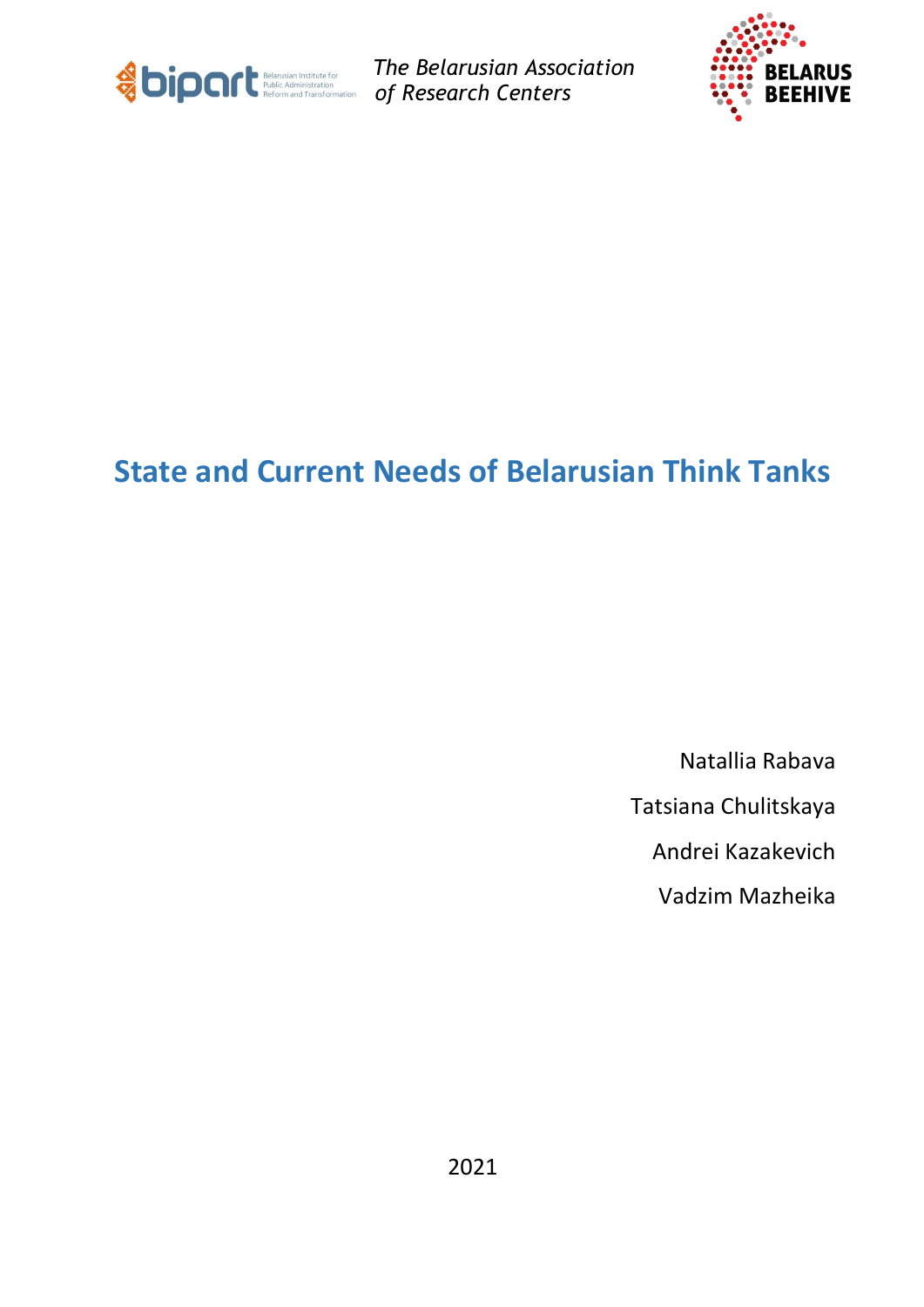

The Belarusian Association of Research Centers



# State and Current Needs of Belarusian Think Tanks

Natallia Rabava

Tatsiana Chulitskaya

Andrei Kazakevich

Vadzim Mazheika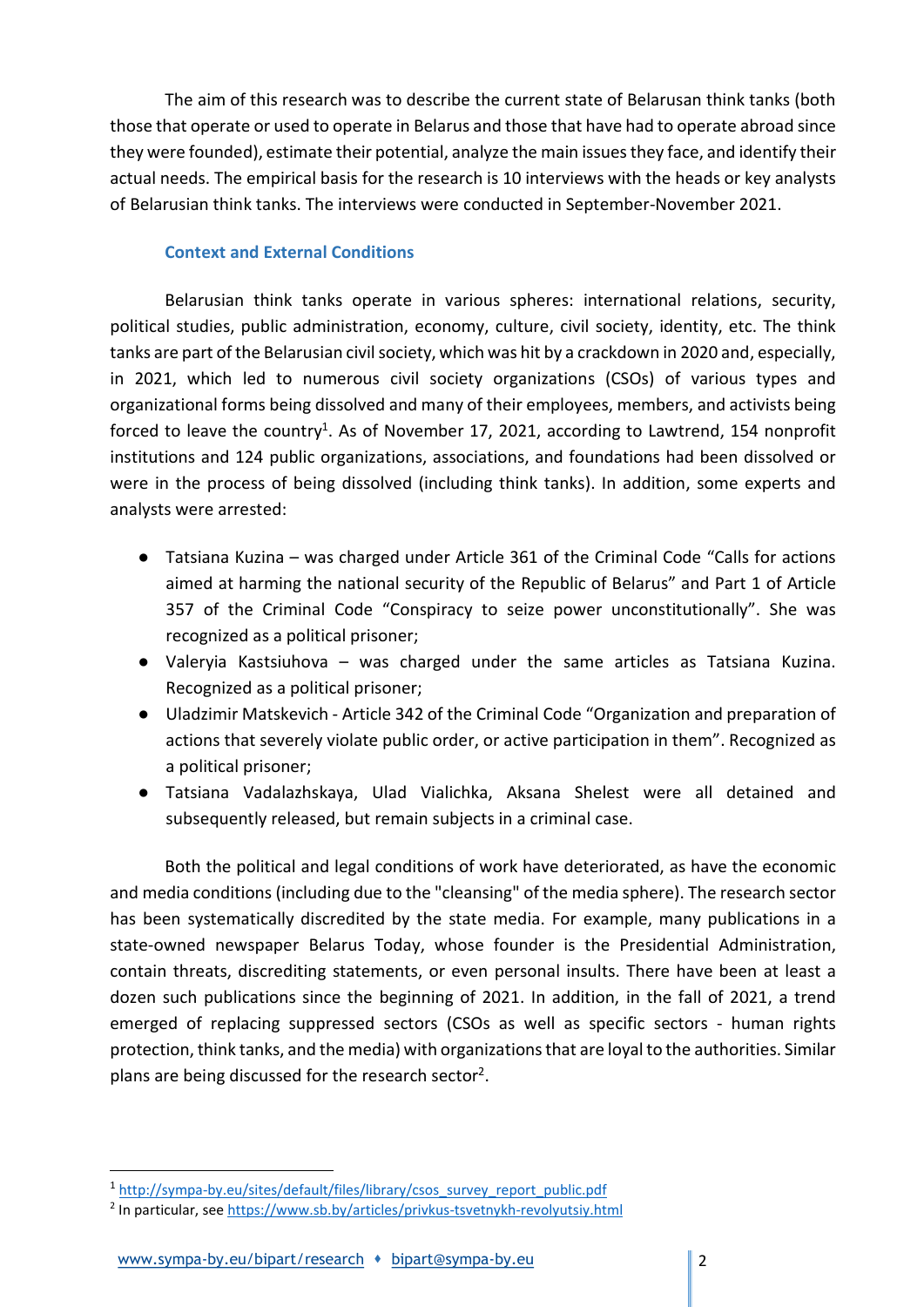The aim of this research was to describe the current state of Belarusan think tanks (both those that operate or used to operate in Belarus and those that have had to operate abroad since they were founded), estimate their potential, analyze the main issues they face, and identify their actual needs. The empirical basis for the research is 10 interviews with the heads or key analysts of Belarusian think tanks. The interviews were conducted in September-November 2021.

## Context and External Conditions

Belarusian think tanks operate in various spheres: international relations, security, political studies, public administration, economy, culture, civil society, identity, etc. The think tanks are part of the Belarusian civil society, which was hit by a crackdown in 2020 and, especially, in 2021, which led to numerous civil society organizations (CSOs) of various types and organizational forms being dissolved and many of their employees, members, and activists being forced to leave the country<sup>1</sup>. As of November 17, 2021, according to Lawtrend, 154 nonprofit institutions and 124 public organizations, associations, and foundations had been dissolved or were in the process of being dissolved (including think tanks). In addition, some experts and analysts were arrested:

- Tatsiana Kuzina was charged under Article 361 of the Criminal Code "Calls for actions aimed at harming the national security of the Republic of Belarus" and Part 1 of Article 357 of the Criminal Code "Conspiracy to seize power unconstitutionally". She was recognized as a political prisoner;
- Valeryia Kastsiuhova was charged under the same articles as Tatsiana Kuzina. Recognized as a political prisoner;
- Uladzimir Matskevich Article 342 of the Criminal Code "Organization and preparation of actions that severely violate public order, or active participation in them". Recognized as a political prisoner;
- Tatsiana Vadalazhskaya, Ulad Vialichka, Aksana Shelest were all detained and subsequently released, but remain subjects in a criminal case.

Both the political and legal conditions of work have deteriorated, as have the economic and media conditions (including due to the "cleansing" of the media sphere). The research sector has been systematically discredited by the state media. For example, many publications in a state-owned newspaper Belarus Today, whose founder is the Presidential Administration, contain threats, discrediting statements, or even personal insults. There have been at least a dozen such publications since the beginning of 2021. In addition, in the fall of 2021, a trend emerged of replacing suppressed sectors (CSOs as well as specific sectors - human rights protection, think tanks, and the media) with organizations that are loyal to the authorities. Similar plans are being discussed for the research sector<sup>2</sup>.

<sup>1</sup> http://sympa-by.eu/sites/default/files/library/csos\_survey\_report\_public.pdf

<sup>&</sup>lt;sup>2</sup> In particular, see https://www.sb.by/articles/privkus-tsvetnykh-revolyutsiy.html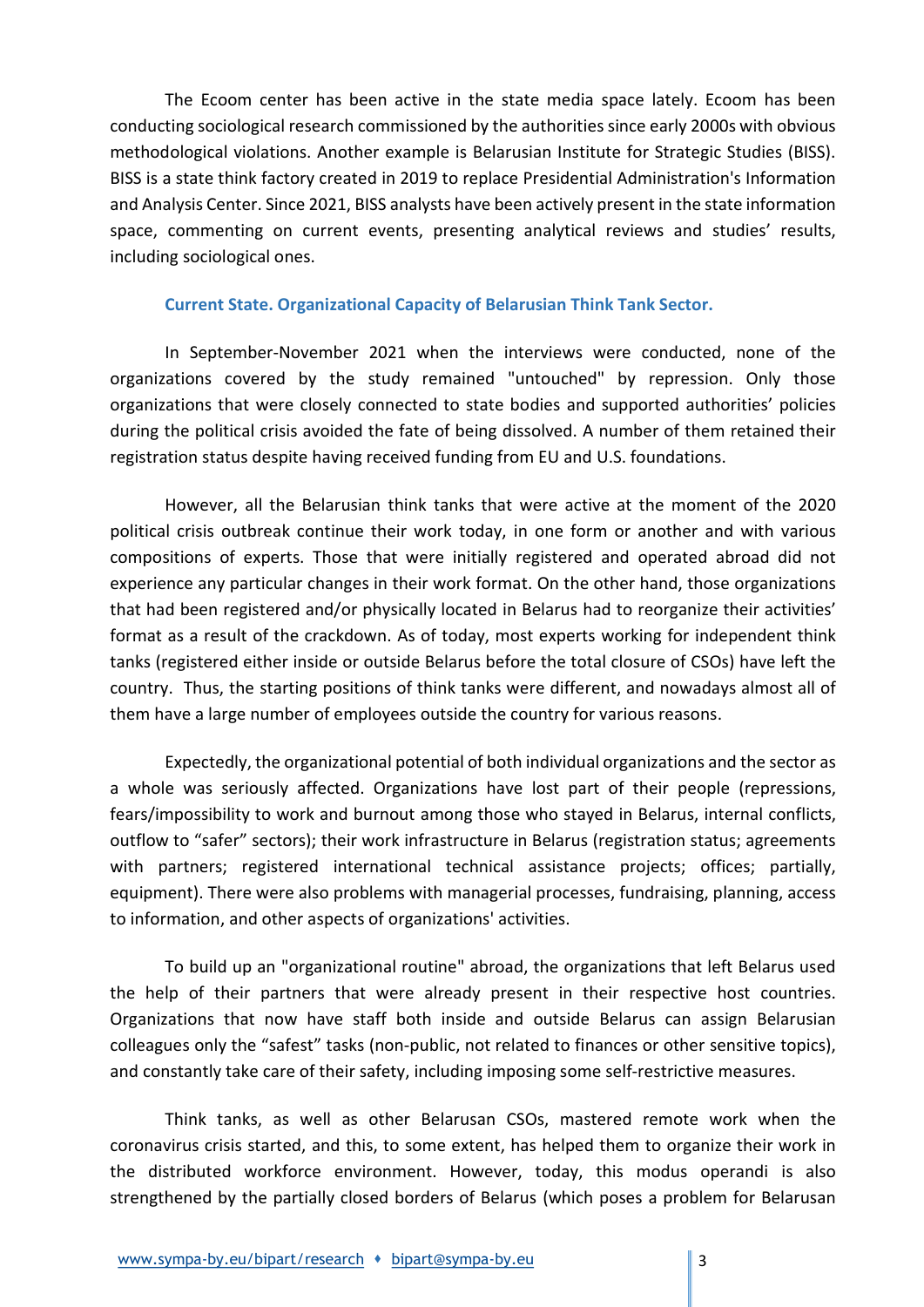The Ecoom center has been active in the state media space lately. Ecoom has been conducting sociological research commissioned by the authorities since early 2000s with obvious methodological violations. Another example is Belarusian Institute for Strategic Studies (BISS). BISS is a state think factory created in 2019 to replace Presidential Administration's Information and Analysis Center. Since 2021, BISS analysts have been actively present in the state information space, commenting on current events, presenting analytical reviews and studies' results, including sociological ones.

### Current State. Organizational Capacity of Belarusian Think Tank Sector.

In September-November 2021 when the interviews were conducted, none of the organizations covered by the study remained "untouched" by repression. Only those organizations that were closely connected to state bodies and supported authorities' policies during the political crisis avoided the fate of being dissolved. A number of them retained their registration status despite having received funding from EU and U.S. foundations.

However, all the Belarusian think tanks that were active at the moment of the 2020 political crisis outbreak continue their work today, in one form or another and with various compositions of experts. Those that were initially registered and operated abroad did not experience any particular changes in their work format. On the other hand, those organizations that had been registered and/or physically located in Belarus had to reorganize their activities' format as a result of the crackdown. As of today, most experts working for independent think tanks (registered either inside or outside Belarus before the total closure of CSOs) have left the country. Thus, the starting positions of think tanks were different, and nowadays almost all of them have a large number of employees outside the country for various reasons.

Expectedly, the organizational potential of both individual organizations and the sector as a whole was seriously affected. Organizations have lost part of their people (repressions, fears/impossibility to work and burnout among those who stayed in Belarus, internal conflicts, outflow to "safer" sectors); their work infrastructure in Belarus (registration status; agreements with partners; registered international technical assistance projects; offices; partially, equipment). There were also problems with managerial processes, fundraising, planning, access to information, and other aspects of organizations' activities.

To build up an "organizational routine" abroad, the organizations that left Belarus used the help of their partners that were already present in their respective host countries. Organizations that now have staff both inside and outside Belarus can assign Belarusian colleagues only the "safest" tasks (non-public, not related to finances or other sensitive topics), and constantly take care of their safety, including imposing some self-restrictive measures.

Think tanks, as well as other Belarusan CSOs, mastered remote work when the coronavirus crisis started, and this, to some extent, has helped them to organize their work in the distributed workforce environment. However, today, this modus operandi is also strengthened by the partially closed borders of Belarus (which poses a problem for Belarusan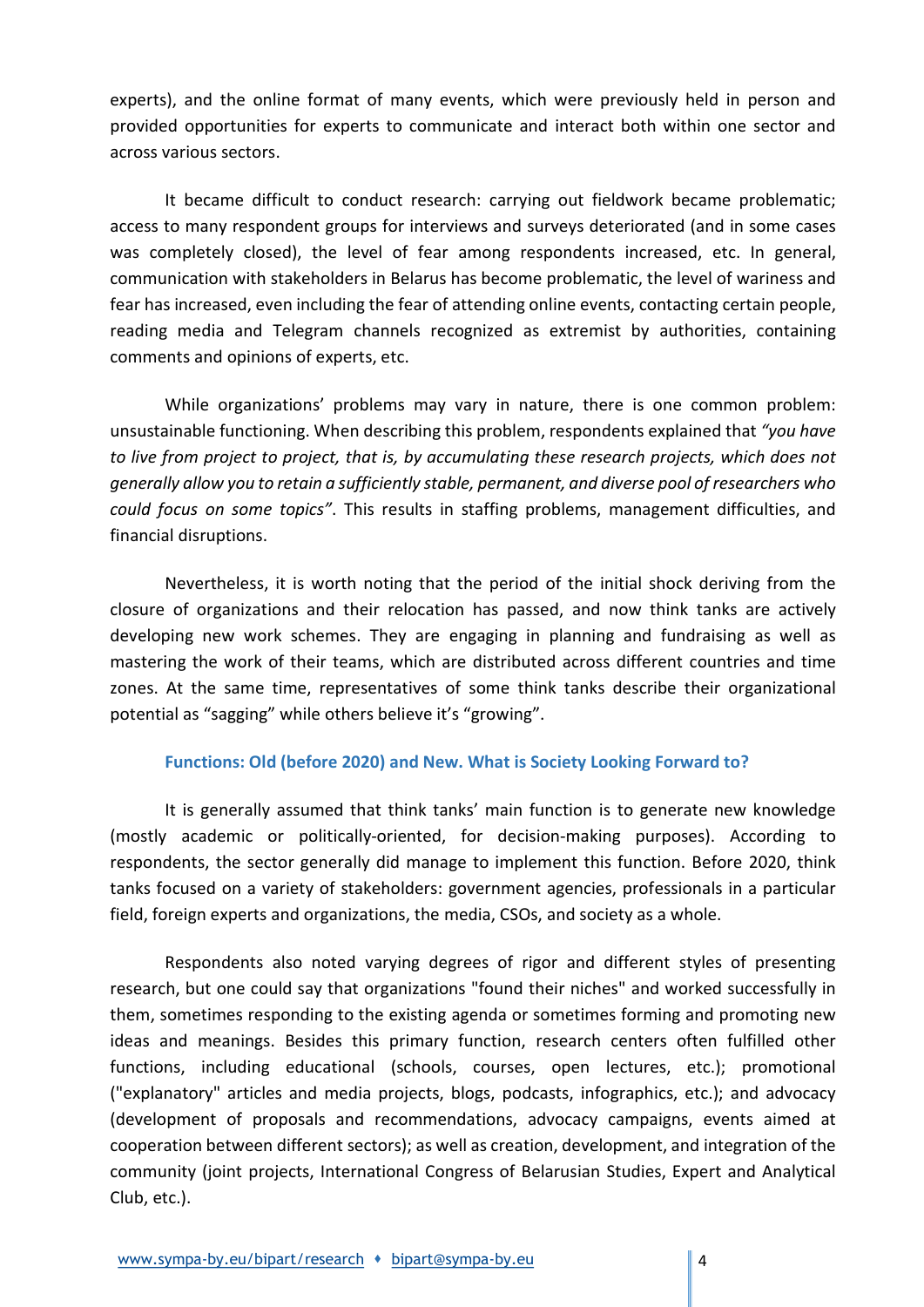experts), and the online format of many events, which were previously held in person and provided opportunities for experts to communicate and interact both within one sector and across various sectors.

It became difficult to conduct research: carrying out fieldwork became problematic; access to many respondent groups for interviews and surveys deteriorated (and in some cases was completely closed), the level of fear among respondents increased, etc. In general, communication with stakeholders in Belarus has become problematic, the level of wariness and fear has increased, even including the fear of attending online events, contacting certain people, reading media and Telegram channels recognized as extremist by authorities, containing comments and opinions of experts, etc.

While organizations' problems may vary in nature, there is one common problem: unsustainable functioning. When describing this problem, respondents explained that "you have to live from project to project, that is, by accumulating these research projects, which does not generally allow you to retain a sufficiently stable, permanent, and diverse pool of researchers who could focus on some topics". This results in staffing problems, management difficulties, and financial disruptions.

Nevertheless, it is worth noting that the period of the initial shock deriving from the closure of organizations and their relocation has passed, and now think tanks are actively developing new work schemes. They are engaging in planning and fundraising as well as mastering the work of their teams, which are distributed across different countries and time zones. At the same time, representatives of some think tanks describe their organizational potential as "sagging" while others believe it's "growing".

### Functions: Old (before 2020) and New. What is Society Looking Forward to?

It is generally assumed that think tanks' main function is to generate new knowledge (mostly academic or politically-oriented, for decision-making purposes). According to respondents, the sector generally did manage to implement this function. Before 2020, think tanks focused on a variety of stakeholders: government agencies, professionals in a particular field, foreign experts and organizations, the media, CSOs, and society as a whole.

Respondents also noted varying degrees of rigor and different styles of presenting research, but one could say that organizations "found their niches" and worked successfully in them, sometimes responding to the existing agenda or sometimes forming and promoting new ideas and meanings. Besides this primary function, research centers often fulfilled other functions, including educational (schools, courses, open lectures, etc.); promotional ("explanatory" articles and media projects, blogs, podcasts, infographics, etc.); and advocacy (development of proposals and recommendations, advocacy campaigns, events aimed at cooperation between different sectors); as well as creation, development, and integration of the community (joint projects, International Congress of Belarusian Studies, Expert and Analytical Club, etc.).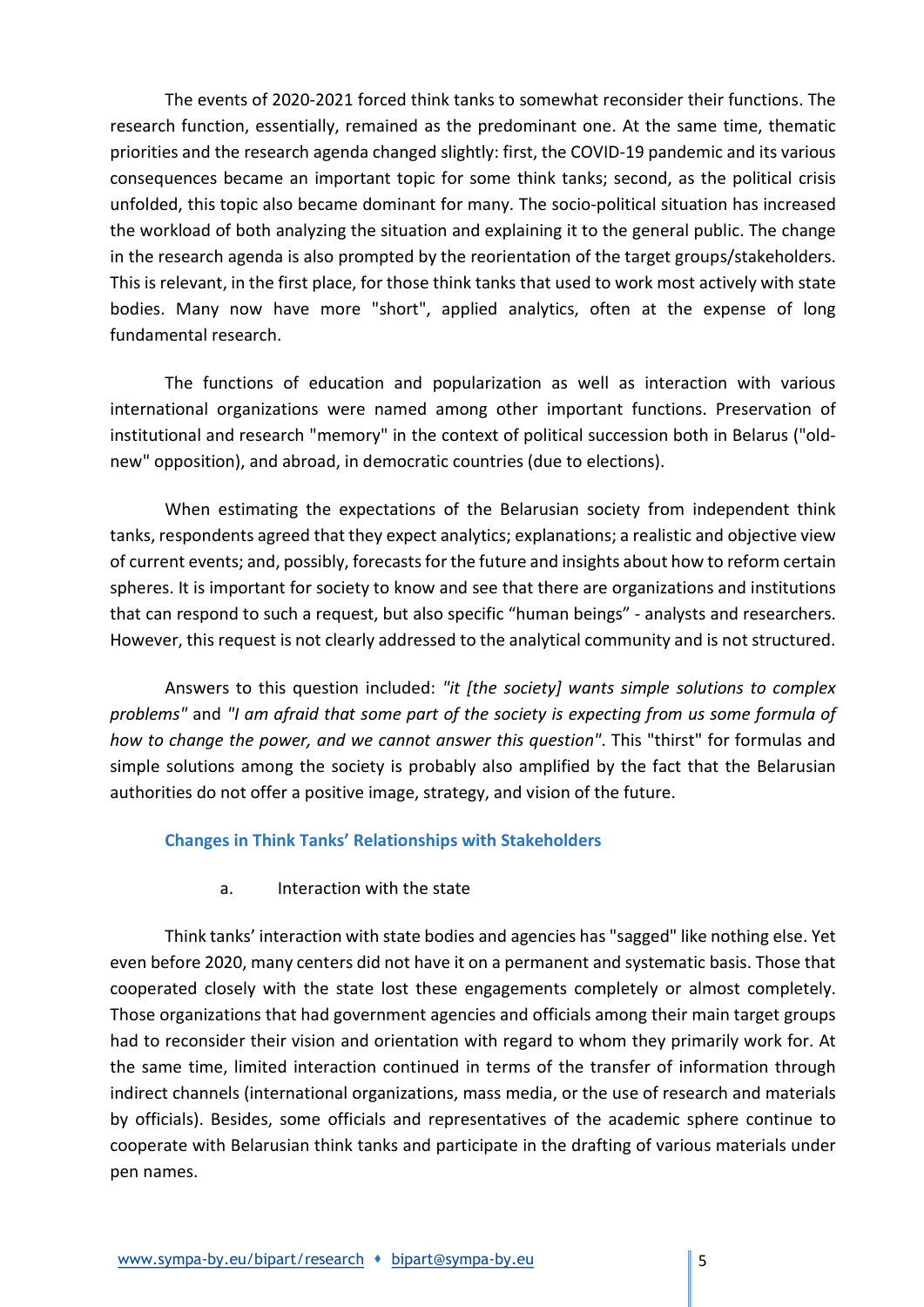The events of 2020-2021 forced think tanks to somewhat reconsider their functions. The research function, essentially, remained as the predominant one. At the same time, thematic priorities and the research agenda changed slightly: first, the COVID-19 pandemic and its various consequences became an important topic for some think tanks; second, as the political crisis unfolded, this topic also became dominant for many. The socio-political situation has increased the workload of both analyzing the situation and explaining it to the general public. The change in the research agenda is also prompted by the reorientation of the target groups/stakeholders. This is relevant, in the first place, for those think tanks that used to work most actively with state bodies. Many now have more "short", applied analytics, often at the expense of long fundamental research.

The functions of education and popularization as well as interaction with various international organizations were named among other important functions. Preservation of institutional and research "memory" in the context of political succession both in Belarus ("oldnew" opposition), and abroad, in democratic countries (due to elections).

When estimating the expectations of the Belarusian society from independent think tanks, respondents agreed that they expect analytics; explanations; a realistic and objective view of current events; and, possibly, forecasts for the future and insights about how to reform certain spheres. It is important for society to know and see that there are organizations and institutions that can respond to such a request, but also specific "human beings" - analysts and researchers. However, this request is not clearly addressed to the analytical community and is not structured.

Answers to this question included: "it [the society] wants simple solutions to complex problems" and "I am afraid that some part of the society is expecting from us some formula of how to change the power, and we cannot answer this question". This "thirst" for formulas and simple solutions among the society is probably also amplified by the fact that the Belarusian authorities do not offer a positive image, strategy, and vision of the future.

### Changes in Think Tanks' Relationships with Stakeholders

a. Interaction with the state

Think tanks' interaction with state bodies and agencies has "sagged" like nothing else. Yet even before 2020, many centers did not have it on a permanent and systematic basis. Those that cooperated closely with the state lost these engagements completely or almost completely. Those organizations that had government agencies and officials among their main target groups had to reconsider their vision and orientation with regard to whom they primarily work for. At the same time, limited interaction continued in terms of the transfer of information through indirect channels (international organizations, mass media, or the use of research and materials by officials). Besides, some officials and representatives of the academic sphere continue to cooperate with Belarusian think tanks and participate in the drafting of various materials under pen names.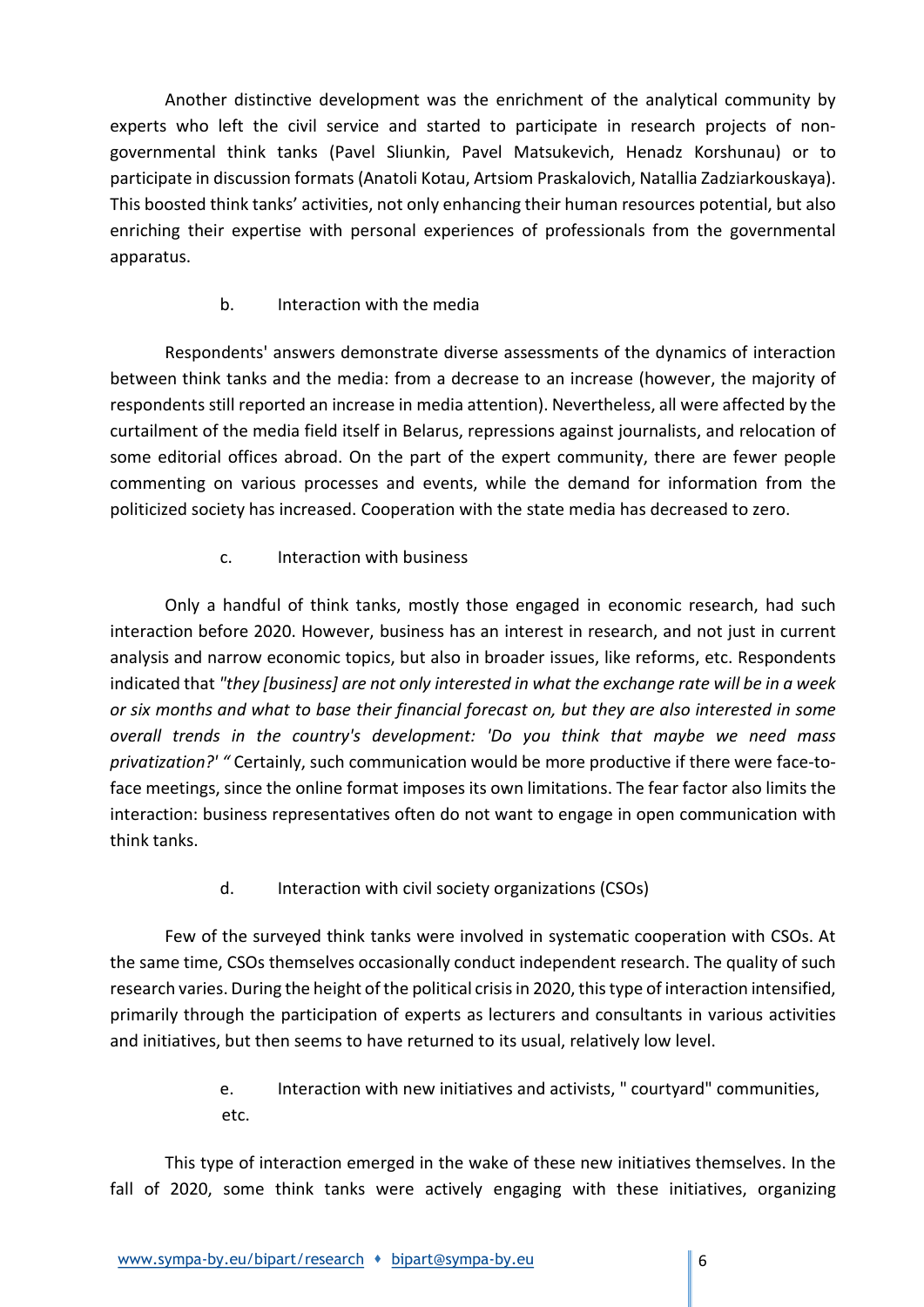Another distinctive development was the enrichment of the analytical community by experts who left the civil service and started to participate in research projects of nongovernmental think tanks (Pavel Sliunkin, Pavel Matsukevich, Henadz Korshunau) or to participate in discussion formats (Anatoli Kotau, Artsiom Praskalovich, Natallia Zadziarkouskaya). This boosted think tanks' activities, not only enhancing their human resources potential, but also enriching their expertise with personal experiences of professionals from the governmental apparatus.

## b. Interaction with the media

Respondents' answers demonstrate diverse assessments of the dynamics of interaction between think tanks and the media: from a decrease to an increase (however, the majority of respondents still reported an increase in media attention). Nevertheless, all were affected by the curtailment of the media field itself in Belarus, repressions against journalists, and relocation of some editorial offices abroad. On the part of the expert community, there are fewer people commenting on various processes and events, while the demand for information from the politicized society has increased. Cooperation with the state media has decreased to zero.

# c. Interaction with business

Only a handful of think tanks, mostly those engaged in economic research, had such interaction before 2020. However, business has an interest in research, and not just in current analysis and narrow economic topics, but also in broader issues, like reforms, etc. Respondents indicated that "they [business] are not only interested in what the exchange rate will be in a week or six months and what to base their financial forecast on, but they are also interested in some overall trends in the country's development: 'Do you think that maybe we need mass privatization?' " Certainly, such communication would be more productive if there were face-toface meetings, since the online format imposes its own limitations. The fear factor also limits the interaction: business representatives often do not want to engage in open communication with think tanks.

d. Interaction with civil society organizations (CSOs)

Few of the surveyed think tanks were involved in systematic cooperation with CSOs. At the same time, CSOs themselves occasionally conduct independent research. The quality of such research varies. During the height of the political crisis in 2020, this type of interaction intensified, primarily through the participation of experts as lecturers and consultants in various activities and initiatives, but then seems to have returned to its usual, relatively low level.

> e. Interaction with new initiatives and activists, " courtyard" communities, etc.

This type of interaction emerged in the wake of these new initiatives themselves. In the fall of 2020, some think tanks were actively engaging with these initiatives, organizing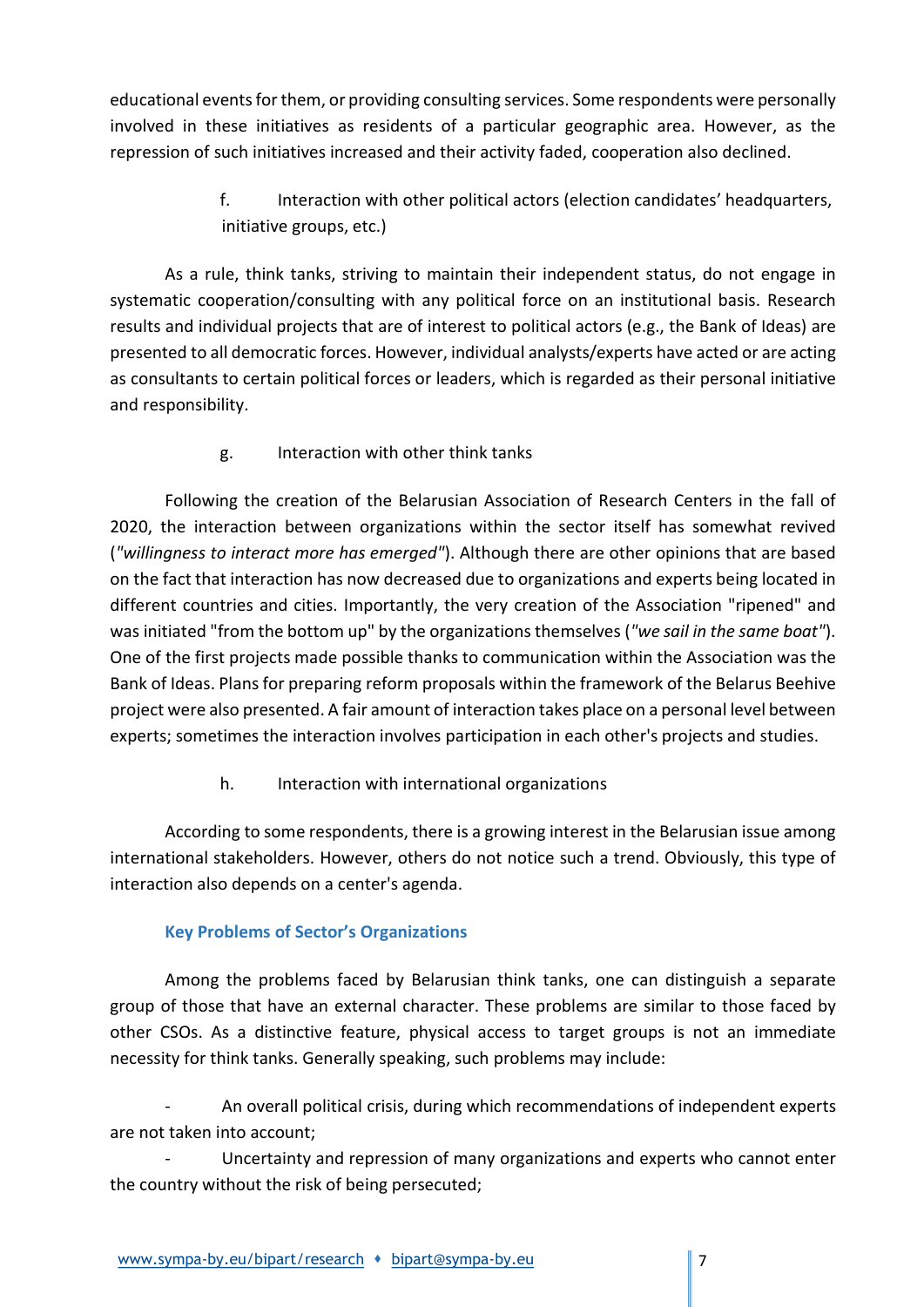educational events for them, or providing consulting services. Some respondents were personally involved in these initiatives as residents of a particular geographic area. However, as the repression of such initiatives increased and their activity faded, cooperation also declined.

> f. Interaction with other political actors (election candidates' headquarters, initiative groups, etc.)

As a rule, think tanks, striving to maintain their independent status, do not engage in systematic cooperation/consulting with any political force on an institutional basis. Research results and individual projects that are of interest to political actors (e.g., the Bank of Ideas) are presented to all democratic forces. However, individual analysts/experts have acted or are acting as consultants to certain political forces or leaders, which is regarded as their personal initiative and responsibility.

g. Interaction with other think tanks

Following the creation of the Belarusian Association of Research Centers in the fall of 2020, the interaction between organizations within the sector itself has somewhat revived ("willingness to interact more has emerged"). Although there are other opinions that are based on the fact that interaction has now decreased due to organizations and experts being located in different countries and cities. Importantly, the very creation of the Association "ripened" and was initiated "from the bottom up" by the organizations themselves ("we sail in the same boat"). One of the first projects made possible thanks to communication within the Association was the Bank of Ideas. Plans for preparing reform proposals within the framework of the Belarus Beehive project were also presented. A fair amount of interaction takes place on a personal level between experts; sometimes the interaction involves participation in each other's projects and studies.

h. Interaction with international organizations

According to some respondents, there is a growing interest in the Belarusian issue among international stakeholders. However, others do not notice such a trend. Obviously, this type of interaction also depends on a center's agenda.

# Key Problems of Sector's Organizations

Among the problems faced by Belarusian think tanks, one can distinguish a separate group of those that have an external character. These problems are similar to those faced by other CSOs. As a distinctive feature, physical access to target groups is not an immediate necessity for think tanks. Generally speaking, such problems may include:

- An overall political crisis, during which recommendations of independent experts are not taken into account;

Uncertainty and repression of many organizations and experts who cannot enter the country without the risk of being persecuted;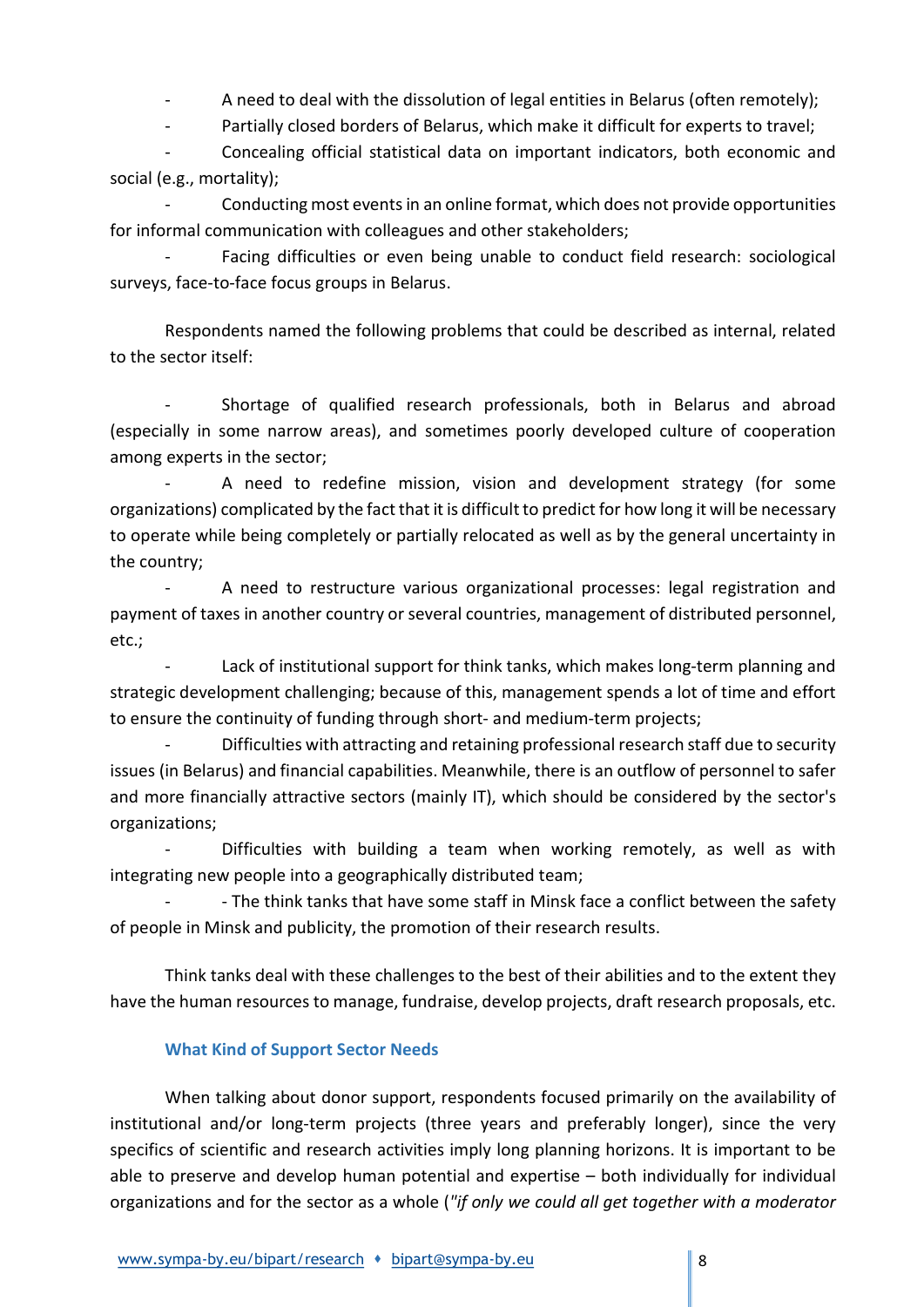A need to deal with the dissolution of legal entities in Belarus (often remotely);

Partially closed borders of Belarus, which make it difficult for experts to travel;

- Concealing official statistical data on important indicators, both economic and social (e.g., mortality);

Conducting most events in an online format, which does not provide opportunities for informal communication with colleagues and other stakeholders;

Facing difficulties or even being unable to conduct field research: sociological surveys, face-to-face focus groups in Belarus.

Respondents named the following problems that could be described as internal, related to the sector itself:

- Shortage of qualified research professionals, both in Belarus and abroad (especially in some narrow areas), and sometimes poorly developed culture of cooperation among experts in the sector;

A need to redefine mission, vision and development strategy (for some organizations) complicated by the fact that it is difficult to predict for how long it will be necessary to operate while being completely or partially relocated as well as by the general uncertainty in the country;

A need to restructure various organizational processes: legal registration and payment of taxes in another country or several countries, management of distributed personnel, etc.;

Lack of institutional support for think tanks, which makes long-term planning and strategic development challenging; because of this, management spends a lot of time and effort to ensure the continuity of funding through short- and medium-term projects;

Difficulties with attracting and retaining professional research staff due to security issues (in Belarus) and financial capabilities. Meanwhile, there is an outflow of personnel to safer and more financially attractive sectors (mainly IT), which should be considered by the sector's organizations;

Difficulties with building a team when working remotely, as well as with integrating new people into a geographically distributed team;

- - The think tanks that have some staff in Minsk face a conflict between the safety of people in Minsk and publicity, the promotion of their research results.

Think tanks deal with these challenges to the best of their abilities and to the extent they have the human resources to manage, fundraise, develop projects, draft research proposals, etc.

## What Kind of Support Sector Needs

When talking about donor support, respondents focused primarily on the availability of institutional and/or long-term projects (three years and preferably longer), since the very specifics of scientific and research activities imply long planning horizons. It is important to be able to preserve and develop human potential and expertise – both individually for individual organizations and for the sector as a whole ("if only we could all get together with a moderator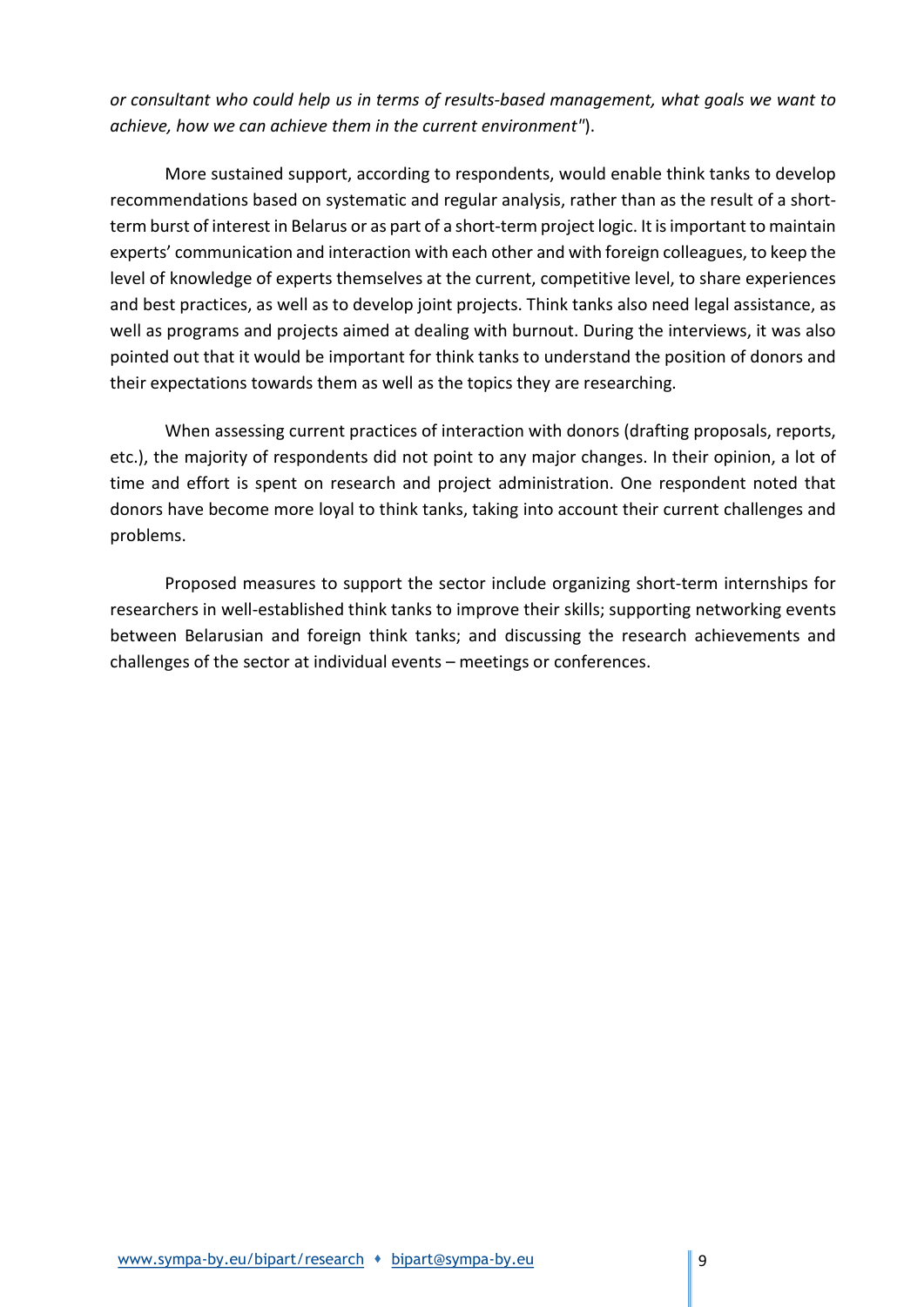or consultant who could help us in terms of results-based management, what goals we want to achieve, how we can achieve them in the current environment").

More sustained support, according to respondents, would enable think tanks to develop recommendations based on systematic and regular analysis, rather than as the result of a shortterm burst of interest in Belarus or as part of a short-term project logic. It is important to maintain experts' communication and interaction with each other and with foreign colleagues, to keep the level of knowledge of experts themselves at the current, competitive level, to share experiences and best practices, as well as to develop joint projects. Think tanks also need legal assistance, as well as programs and projects aimed at dealing with burnout. During the interviews, it was also pointed out that it would be important for think tanks to understand the position of donors and their expectations towards them as well as the topics they are researching.

When assessing current practices of interaction with donors (drafting proposals, reports, etc.), the majority of respondents did not point to any major changes. In their opinion, a lot of time and effort is spent on research and project administration. One respondent noted that donors have become more loyal to think tanks, taking into account their current challenges and problems.

Proposed measures to support the sector include organizing short-term internships for researchers in well-established think tanks to improve their skills; supporting networking events between Belarusian and foreign think tanks; and discussing the research achievements and challenges of the sector at individual events – meetings or conferences.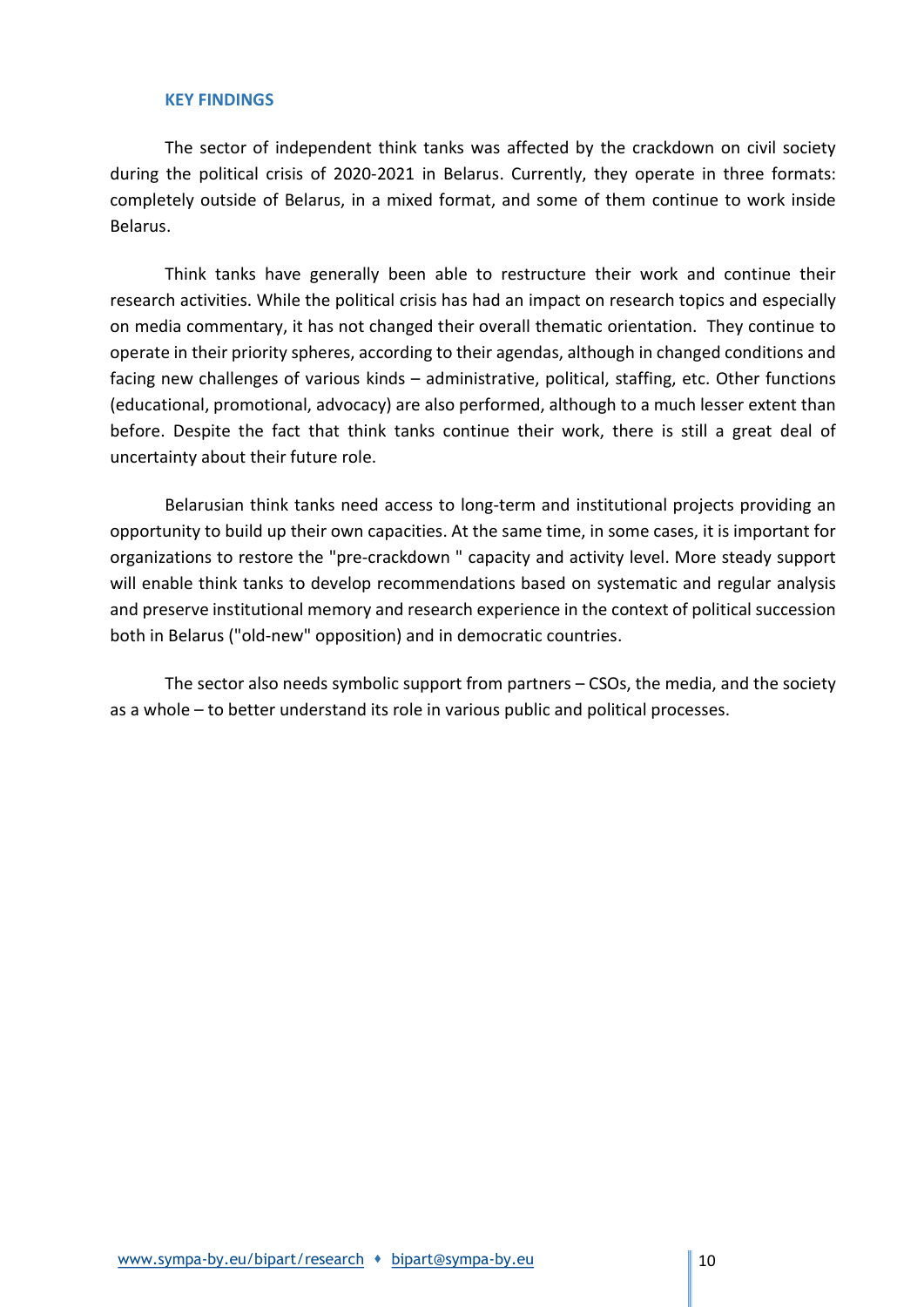#### KEY FINDINGS

The sector of independent think tanks was affected by the crackdown on civil society during the political crisis of 2020-2021 in Belarus. Currently, they operate in three formats: completely outside of Belarus, in a mixed format, and some of them continue to work inside Belarus.

Think tanks have generally been able to restructure their work and continue their research activities. While the political crisis has had an impact on research topics and especially on media commentary, it has not changed their overall thematic orientation. They continue to operate in their priority spheres, according to their agendas, although in changed conditions and facing new challenges of various kinds – administrative, political, staffing, etc. Other functions (educational, promotional, advocacy) are also performed, although to a much lesser extent than before. Despite the fact that think tanks continue their work, there is still a great deal of uncertainty about their future role.

Belarusian think tanks need access to long-term and institutional projects providing an opportunity to build up their own capacities. At the same time, in some cases, it is important for organizations to restore the "pre-crackdown " capacity and activity level. More steady support will enable think tanks to develop recommendations based on systematic and regular analysis and preserve institutional memory and research experience in the context of political succession both in Belarus ("old-new" opposition) and in democratic countries.

The sector also needs symbolic support from partners – CSOs, the media, and the society as a whole – to better understand its role in various public and political processes.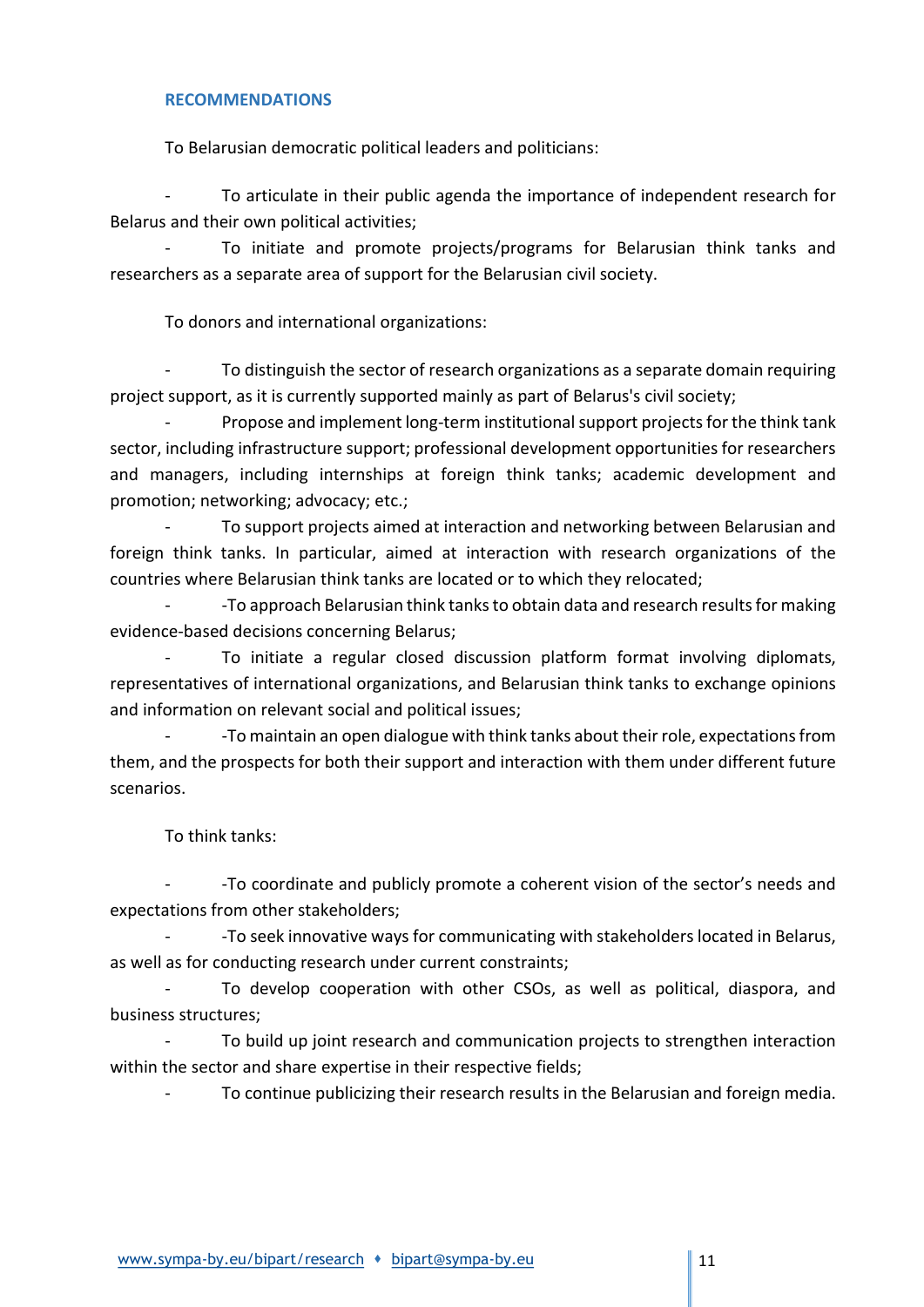## RECOMMENDATIONS

To Belarusian democratic political leaders and politicians:

To articulate in their public agenda the importance of independent research for Belarus and their own political activities;

To initiate and promote projects/programs for Belarusian think tanks and researchers as a separate area of support for the Belarusian civil society.

To donors and international organizations:

To distinguish the sector of research organizations as a separate domain requiring project support, as it is currently supported mainly as part of Belarus's civil society;

Propose and implement long-term institutional support projects for the think tank sector, including infrastructure support; professional development opportunities for researchers and managers, including internships at foreign think tanks; academic development and promotion; networking; advocacy; etc.;

To support projects aimed at interaction and networking between Belarusian and foreign think tanks. In particular, aimed at interaction with research organizations of the countries where Belarusian think tanks are located or to which they relocated;

- -To approach Belarusian think tanks to obtain data and research results for making evidence-based decisions concerning Belarus;

To initiate a regular closed discussion platform format involving diplomats, representatives of international organizations, and Belarusian think tanks to exchange opinions and information on relevant social and political issues;

- -To maintain an open dialogue with think tanks about their role, expectations from them, and the prospects for both their support and interaction with them under different future scenarios.

To think tanks:

- -To coordinate and publicly promote a coherent vision of the sector's needs and expectations from other stakeholders;

- -To seek innovative ways for communicating with stakeholders located in Belarus, as well as for conducting research under current constraints;

To develop cooperation with other CSOs, as well as political, diaspora, and business structures;

To build up joint research and communication projects to strengthen interaction within the sector and share expertise in their respective fields;

To continue publicizing their research results in the Belarusian and foreign media.